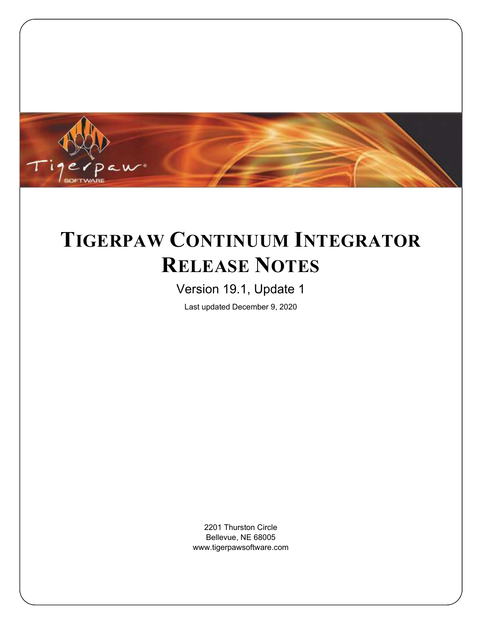

# <span id="page-0-0"></span>**TIGERPAW CONTINUUM INTEGRATOR RELEASE NOTES**

# Version 19.1, Update 1

Last updated December 9, 2020

2201 Thurston Circle Bellevue, NE 68005 www.tigerpawsoftware.com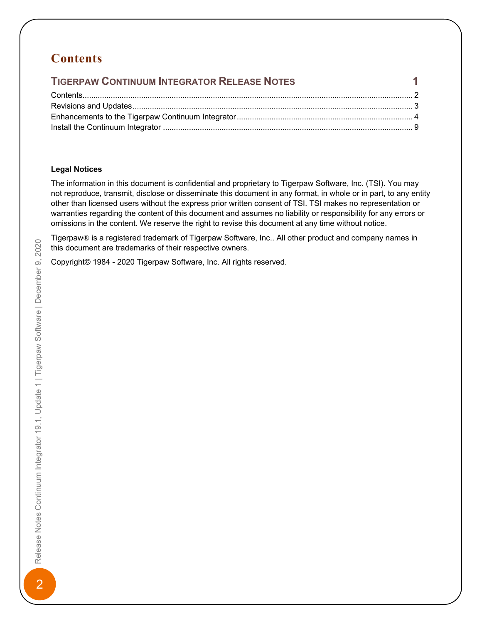# <span id="page-1-0"></span>**Contents**

| $\sim$ 100 $\sim$ 100 $\sim$ 110 $\sim$ 110 $\sim$ 110 $\sim$ 110 $\sim$ 110 $\sim$<br><b>TIGERPAW CONTINUUM INTEGRATOR RELEASE NOTES</b> |  |
|-------------------------------------------------------------------------------------------------------------------------------------------|--|
|                                                                                                                                           |  |
|                                                                                                                                           |  |
|                                                                                                                                           |  |
|                                                                                                                                           |  |

#### **Legal Notices**

The information in this document is confidential and proprietary to Tigerpaw Software, Inc. (TSI). You may not reproduce, transmit, disclose or disseminate this document in any format, in whole or in part, to any entity other than licensed users without the express prior written consent of TSI. TSI makes no representation or warranties regarding the content of this document and assumes no liability or responsibility for any errors or omissions in the content. We reserve the right to revise this document at any time without notice.

Tigerpaw® is a registered trademark of Tigerpaw Software, Inc.. All other product and company names in this document are trademarks of their respective owners.

Copyright© 1984 - 2020 Tigerpaw Software, Inc. All rights reserved.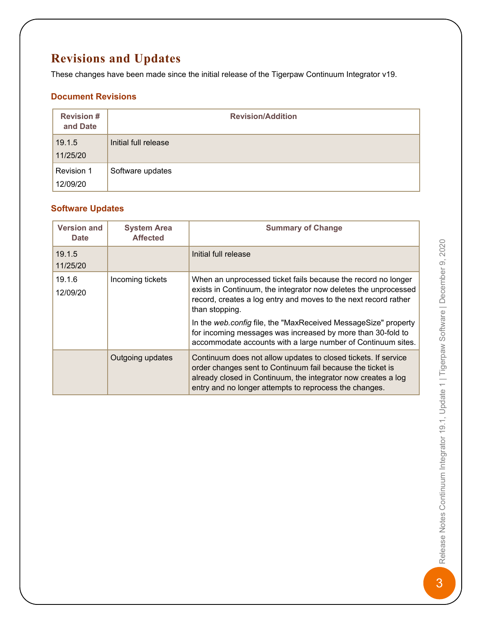# <span id="page-2-0"></span>**Revisions and Updates**

These changes have been made since the initial release of the Tigerpaw Continuum Integrator v19.

### **Document Revisions**

| <b>Revision#</b><br>and Date | <b>Revision/Addition</b> |
|------------------------------|--------------------------|
| 19.1.5<br>11/25/20           | Initial full release     |
| Revision 1<br>12/09/20       | Software updates         |

### **Software Updates**

| <b>Version and</b><br><b>Date</b> | <b>System Area</b><br><b>Affected</b> | <b>Summary of Change</b>                                                                                                                                                                                                                                                                                                                                                                                               |
|-----------------------------------|---------------------------------------|------------------------------------------------------------------------------------------------------------------------------------------------------------------------------------------------------------------------------------------------------------------------------------------------------------------------------------------------------------------------------------------------------------------------|
| 19.1.5<br>11/25/20                |                                       | Initial full release                                                                                                                                                                                                                                                                                                                                                                                                   |
| 19.1.6<br>12/09/20                | Incoming tickets                      | When an unprocessed ticket fails because the record no longer<br>exists in Continuum, the integrator now deletes the unprocessed<br>record, creates a log entry and moves to the next record rather<br>than stopping.<br>In the web.config file, the "MaxReceived MessageSize" property<br>for incoming messages was increased by more than 30-fold to<br>accommodate accounts with a large number of Continuum sites. |
|                                   | Outgoing updates                      | Continuum does not allow updates to closed tickets. If service<br>order changes sent to Continuum fail because the ticket is<br>already closed in Continuum, the integrator now creates a log<br>entry and no longer attempts to reprocess the changes.                                                                                                                                                                |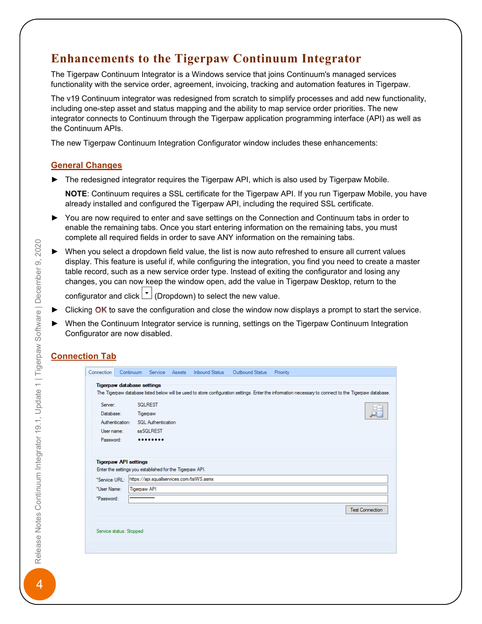# <span id="page-3-0"></span>**Enhancements to the Tigerpaw Continuum Integrator**

The Tigerpaw Continuum Integrator is a Windows service that joins Continuum's managed services functionality with the service order, agreement, invoicing, tracking and automation features in Tigerpaw.

The v19 Continuum integrator was redesigned from scratch to simplify processes and add new functionality, including one-step asset and status mapping and the ability to map service order priorities. The new integrator connects to Continuum through the Tigerpaw application programming interface (API) as well as the Continuum APIs.

The new Tigerpaw Continuum Integration Configurator window includes these enhancements:

#### **General Changes**

 $\blacktriangleright$  The redesigned integrator requires the Tigerpaw API, which is also used by Tigerpaw Mobile.

**NOTE:** Continuum requires a SSL certificate for the Tigerpaw API. If you run Tigerpaw Mobile, you have already installed and configured the Tigerpaw API, including the required SSL certificate.

- ► You are now required to enter and save settings on the Connection and Continuum tabs in order to enable the remaining tabs. Once you start entering information on the remaining tabs, you must complete all required fields in order to save ANY information on the remaining tabs.
- When you select a dropdown field value, the list is now auto refreshed to ensure all current values display. This feature is useful if, while configuring the integration, you find you need to create a master table record, such as a new service order type. Instead of exiting the configurator and losing any changes, you can now keep the window open, add the value in Tigerpaw Desktop, return to the

configurator and click  $\boxed{\cdot}$  (Dropdown) to select the new value.

- Clicking  $\overline{OK}$  to save the configuration and close the window now displays a prompt to start the service.
- ► When the Continuum Integrator service is running, settings on the Tigerpaw Continuum Integration Configurator are now disabled.

### **Connection Tab**

| Connection    |                              | Continuum Service Assets                                 |  | Inbound Status    Qutbound Status | Priority                                                                                                                                              |
|---------------|------------------------------|----------------------------------------------------------|--|-----------------------------------|-------------------------------------------------------------------------------------------------------------------------------------------------------|
|               |                              |                                                          |  |                                   |                                                                                                                                                       |
|               |                              | <b>Tigerpaw database settings</b>                        |  |                                   |                                                                                                                                                       |
|               |                              |                                                          |  |                                   | The Tigerpaw database listed below will be used to store configuration settings. Enter the information necessary to connect to the Tigerpaw database. |
|               |                              |                                                          |  |                                   |                                                                                                                                                       |
| Server:       |                              | <b>SQLREST</b>                                           |  |                                   |                                                                                                                                                       |
| Database:     |                              | Tigerpaw                                                 |  |                                   |                                                                                                                                                       |
|               |                              | Authentication: SQL Authentication                       |  |                                   |                                                                                                                                                       |
| User name:    |                              | saSQLREST                                                |  |                                   |                                                                                                                                                       |
| Password:     |                              |                                                          |  |                                   |                                                                                                                                                       |
|               |                              |                                                          |  |                                   |                                                                                                                                                       |
|               |                              |                                                          |  |                                   |                                                                                                                                                       |
|               | <b>Tigerpaw API settings</b> |                                                          |  |                                   |                                                                                                                                                       |
|               |                              | Enter the settings you established for the Tigerpaw API. |  |                                   |                                                                                                                                                       |
| *Service URL: |                              | https://api.squallservices.com/tsiWS.asmx                |  |                                   |                                                                                                                                                       |
|               |                              |                                                          |  |                                   |                                                                                                                                                       |
| *User Name:   |                              | <b>Tigerpaw API</b>                                      |  |                                   |                                                                                                                                                       |
| *Password:    |                              |                                                          |  |                                   |                                                                                                                                                       |
|               |                              |                                                          |  |                                   | <b>Test Connection</b>                                                                                                                                |
|               |                              |                                                          |  |                                   |                                                                                                                                                       |
|               |                              |                                                          |  |                                   |                                                                                                                                                       |
|               |                              |                                                          |  |                                   |                                                                                                                                                       |
|               | Service status: Stopped      |                                                          |  |                                   |                                                                                                                                                       |
|               |                              |                                                          |  |                                   |                                                                                                                                                       |
|               |                              |                                                          |  |                                   |                                                                                                                                                       |

4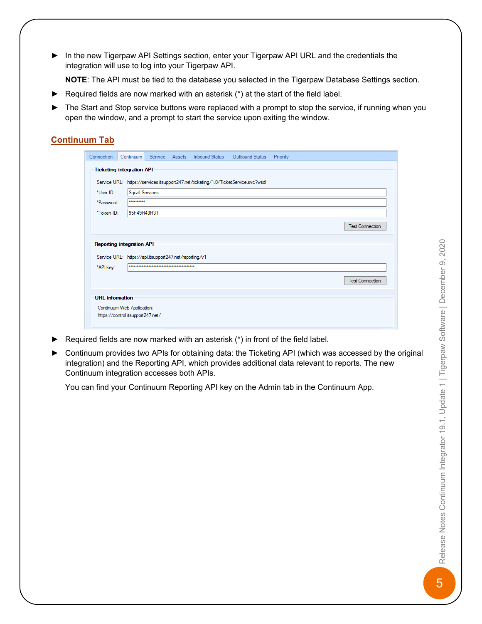In the new Tigerpaw API Settings section, enter your Tigerpaw API URL and the credentials the integration will use to log into your Tigerpaw API.

NOTE: The API must be tied to the database you selected in the Tigerpaw Database Settings section.

- $\blacktriangleright$  Required fields are now marked with an asterisk (\*) at the start of the field label.
- ► The Start and Stop service buttons were replaced with a prompt to stop the service, if running when you open the window, and a prompt to start the service upon exiting the window.

### **Continuum Tab**

|            |                                                        |  | Service URL: https://services.itsupport247.net/ticketing/1.0/TicketService.svc?wsdl |                        |
|------------|--------------------------------------------------------|--|-------------------------------------------------------------------------------------|------------------------|
| *User ID:  | <b>Squall Services</b>                                 |  |                                                                                     |                        |
| *Password: |                                                        |  |                                                                                     |                        |
| *Token ID: | 95H49H43H3T                                            |  |                                                                                     |                        |
|            |                                                        |  |                                                                                     | <b>Test Connection</b> |
|            | <b>Reporting integration API</b>                       |  |                                                                                     |                        |
|            | Service URL: https://api.itsupport247.net/reporting/v1 |  |                                                                                     |                        |
| *API key:  |                                                        |  |                                                                                     |                        |
|            |                                                        |  |                                                                                     | <b>Test Connection</b> |

- ► Required fields are now marked with an asterisk  $(*)$  in front of the field label.
- ► Continuum provides two APIs for obtaining data: the Ticketing API (which was accessed by the original integration) and the Reporting API, which provides additional data relevant to reports. The new Continuum integration accesses both APIs.

You can find your Continuum Reporting API key on the Admin tab in the Continuum App.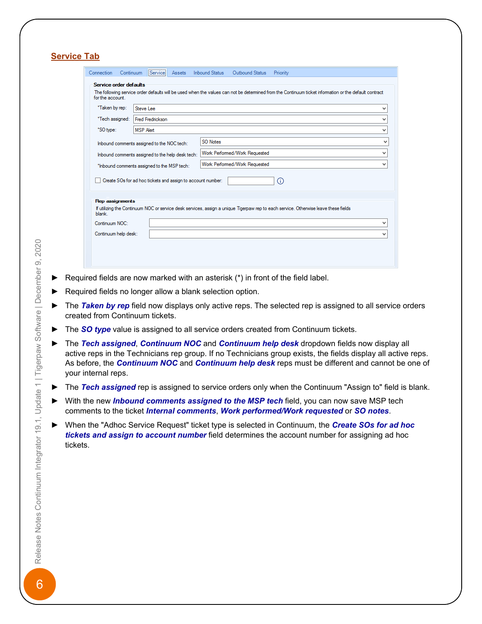|                        | Steve Lee                                                   |                                                                                                                                     | v            |
|------------------------|-------------------------------------------------------------|-------------------------------------------------------------------------------------------------------------------------------------|--------------|
| *Tech assigned:        | Fred Fredrickson                                            |                                                                                                                                     | v            |
| 'SO type:              | <b>MSP</b> Alert                                            |                                                                                                                                     | v            |
|                        | Inbound comments assigned to the NOC tech:                  | SO Notes                                                                                                                            | v            |
|                        | Inbound comments assigned to the help desk tech:            | Work Performed/Work Requested                                                                                                       | v            |
|                        | "Inbound comments assigned to the MSP tech:                 | Work Performed/Work Requested                                                                                                       | $\checkmark$ |
|                        | Create SOs for ad hoc tickets and assign to account number: | $\bigcap$                                                                                                                           |              |
|                        |                                                             |                                                                                                                                     |              |
| <b>Rep assignments</b> |                                                             |                                                                                                                                     |              |
| blank.                 |                                                             | If utilizing the Continuum NOC or service desk services, assign a unique Tigerpaw rep to each service. Otherwise leave these fields |              |
| Continuum NOC:         |                                                             |                                                                                                                                     | v            |

- Exequired fields are now marked with an asterisk  $(*)$  in front of the field label.
- Required fields no longer allow a blank selection option.
- ► The **Taken by rep** field now displays only active reps. The selected rep is assigned to all service orders created from Continuum tickets.
- ► The *SO type* value is assigned to all service orders created from Continuum tickets.
- ► The **Tech assigned, Continuum NOC** and **Continuum help desk** dropdown fields now display all active reps in the Technicians rep group. If no Technicians group exists, the fields display all active reps. As before, the **Continuum NOC** and **Continuum help desk** reps must be different and cannot be one of your internal reps.
- ► The *Tech assigned* rep is assigned to service orders only when the Continuum "Assign to" field is blank.
- ► With the new *Inbound comments assigned to the MSP tech* field, you can now save MSP tech comments to the ticket *Internal comments*, *Work performed/Work requested* or *SO notes*.
- ► When the "Adhoc Service Request" ticket type is selected in Continuum, the **Create SOs for ad hoc** *tickets and assign to account number* field determines the account number for assigning ad hoc tickets.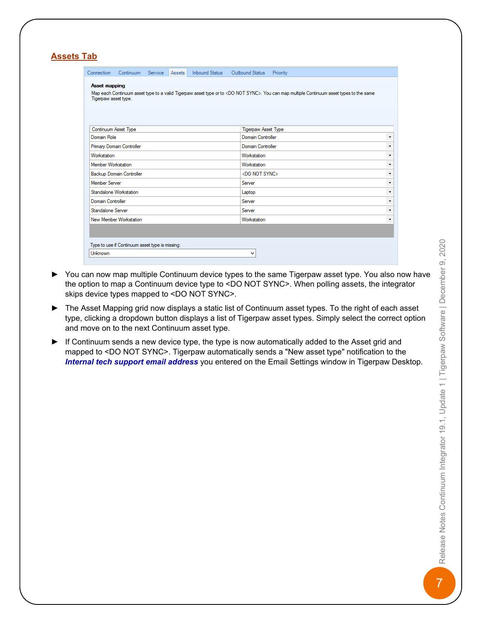| <b>Asset mapping</b><br>Map each Continuum asset type to a valid Tigerpaw asset type or to <do not="" sync="">. You can map multiple Continuum asset types to the same<br/>Tigerpaw asset type.<br/>Continuum Asset Type<br/>Tigerpaw Asset Type<br/>Domain Role<br/>Domain Controller<br/>Primary Domain Controller<br/><b>Domain Controller</b><br/><b>Workstation</b><br/>Workstation<br/>Member Workstation<br/>Workstation<br/><b>Backup Domain Controller</b><br/><do not="" sync=""><br/><b>Member Server</b><br/>Server<br/>Standalone Workstation<br/>Laptop<br/>Domain Controller<br/>Server<br/>Standalone Server<br/>Server<br/>New Member Workstation<br/>Workstation</do></do> | Connection | Continuum Service Assets                        |  | Inbound Status | Outbound Status | Priority |  |  |
|----------------------------------------------------------------------------------------------------------------------------------------------------------------------------------------------------------------------------------------------------------------------------------------------------------------------------------------------------------------------------------------------------------------------------------------------------------------------------------------------------------------------------------------------------------------------------------------------------------------------------------------------------------------------------------------------|------------|-------------------------------------------------|--|----------------|-----------------|----------|--|--|
|                                                                                                                                                                                                                                                                                                                                                                                                                                                                                                                                                                                                                                                                                              |            |                                                 |  |                |                 |          |  |  |
|                                                                                                                                                                                                                                                                                                                                                                                                                                                                                                                                                                                                                                                                                              |            |                                                 |  |                |                 |          |  |  |
|                                                                                                                                                                                                                                                                                                                                                                                                                                                                                                                                                                                                                                                                                              |            |                                                 |  |                |                 |          |  |  |
|                                                                                                                                                                                                                                                                                                                                                                                                                                                                                                                                                                                                                                                                                              |            |                                                 |  |                |                 |          |  |  |
|                                                                                                                                                                                                                                                                                                                                                                                                                                                                                                                                                                                                                                                                                              |            |                                                 |  |                |                 |          |  |  |
|                                                                                                                                                                                                                                                                                                                                                                                                                                                                                                                                                                                                                                                                                              |            |                                                 |  |                |                 |          |  |  |
|                                                                                                                                                                                                                                                                                                                                                                                                                                                                                                                                                                                                                                                                                              |            |                                                 |  |                |                 |          |  |  |
|                                                                                                                                                                                                                                                                                                                                                                                                                                                                                                                                                                                                                                                                                              |            |                                                 |  |                |                 |          |  |  |
|                                                                                                                                                                                                                                                                                                                                                                                                                                                                                                                                                                                                                                                                                              |            |                                                 |  |                |                 |          |  |  |
|                                                                                                                                                                                                                                                                                                                                                                                                                                                                                                                                                                                                                                                                                              |            |                                                 |  |                |                 |          |  |  |
|                                                                                                                                                                                                                                                                                                                                                                                                                                                                                                                                                                                                                                                                                              |            |                                                 |  |                |                 |          |  |  |
|                                                                                                                                                                                                                                                                                                                                                                                                                                                                                                                                                                                                                                                                                              |            |                                                 |  |                |                 |          |  |  |
|                                                                                                                                                                                                                                                                                                                                                                                                                                                                                                                                                                                                                                                                                              |            |                                                 |  |                |                 |          |  |  |
|                                                                                                                                                                                                                                                                                                                                                                                                                                                                                                                                                                                                                                                                                              |            |                                                 |  |                |                 |          |  |  |
|                                                                                                                                                                                                                                                                                                                                                                                                                                                                                                                                                                                                                                                                                              |            | Type to use if Continuum asset type is missing: |  |                |                 |          |  |  |

- ► You can now map multiple Continuum device types to the same Tigerpaw asset type. You also now have the option to map a Continuum device type to <DO NOT SYNC>. When polling assets, the integrator skips device types mapped to <DO NOT SYNC>.
- ► The Asset Mapping grid now displays a static list of Continuum asset types. To the right of each asset type, clicking a dropdown button displays a list of Tigerpaw asset types. Simply select the correct option and move on to the next Continuum asset type.
- $\blacktriangleright$  If Continuum sends a new device type, the type is now automatically added to the Asset grid and mapped to <DO NOT SYNC>. Tigerpaw automatically sends a "New asset type" notification to the *Internal tech support email address* you entered on the Email Settings window in Tigerpaw Desktop.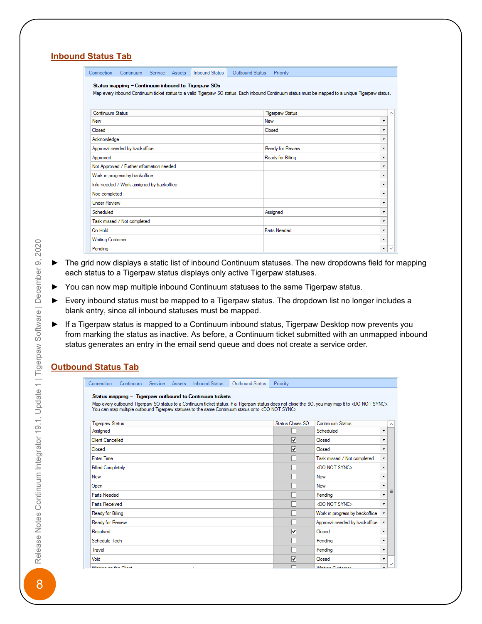### **Inbound Status Tab**

| Connection              | Continuum Service Assets                  |  | <b>Inbound Status</b>                              | Outbound Status | Priority                                                                                                                                           |                   |
|-------------------------|-------------------------------------------|--|----------------------------------------------------|-----------------|----------------------------------------------------------------------------------------------------------------------------------------------------|-------------------|
|                         |                                           |  | Status mapping - Continuum inbound to Tigerpaw SOs |                 |                                                                                                                                                    |                   |
|                         |                                           |  |                                                    |                 | Map every inbound Continuum ticket status to a valid Tigerpaw SO status. Each inbound Continuum status must be mapped to a unique Tigerpaw status. |                   |
|                         |                                           |  |                                                    |                 |                                                                                                                                                    |                   |
|                         |                                           |  |                                                    |                 |                                                                                                                                                    |                   |
| Continuum Status        |                                           |  |                                                    |                 | <b>Tigerpaw Status</b>                                                                                                                             | ∧                 |
| New                     |                                           |  |                                                    |                 | New                                                                                                                                                | ۰                 |
| Closed                  |                                           |  |                                                    |                 | Closed                                                                                                                                             | ۰                 |
| Acknowledge             |                                           |  |                                                    |                 |                                                                                                                                                    | ۰                 |
|                         | Approval needed by backoffice             |  |                                                    |                 | Ready for Review                                                                                                                                   | ۰                 |
| Approved                |                                           |  |                                                    |                 | Ready for Billing                                                                                                                                  | ۰                 |
|                         | Not Approved / Further information needed |  |                                                    |                 |                                                                                                                                                    | $\cdot$           |
|                         | Work in progress by backoffice            |  |                                                    |                 |                                                                                                                                                    | ۰                 |
|                         | Info needed / Work assigned by backoffice |  |                                                    |                 |                                                                                                                                                    | ۰                 |
| Noc completed           |                                           |  |                                                    |                 |                                                                                                                                                    | ۰                 |
| <b>Under Review</b>     |                                           |  |                                                    |                 |                                                                                                                                                    | ۰                 |
| Scheduled               |                                           |  |                                                    |                 | Assigned                                                                                                                                           | ۰                 |
|                         | Task missed / Not completed               |  |                                                    |                 |                                                                                                                                                    | ۰                 |
| On Hold                 |                                           |  |                                                    |                 | Parts Needed                                                                                                                                       | ۰                 |
| <b>Waiting Customer</b> |                                           |  |                                                    |                 |                                                                                                                                                    | ۰                 |
| Pending                 |                                           |  |                                                    |                 |                                                                                                                                                    | $\checkmark$<br>۰ |

- ► The grid now displays a static list of inbound Continuum statuses. The new dropdowns field for mapping each status to a Tigerpaw status displays only active Tigerpaw statuses.
- ► You can now map multiple inbound Continuum statuses to the same Tigerpaw status.
- ► Every inbound status must be mapped to a Tigerpaw status. The dropdown list no longer includes a blank entry, since all inbound statuses must be mapped.
- ► If a Tigerpaw status is mapped to a Continuum inbound status, Tigerpaw Desktop now prevents you from marking the status as inactive. As before, a Continuum ticket submitted with an unmapped inbound status generates an entry in the email send queue and does not create a service order.

 $0.44 \times 10^{-1}$ 

## **Outbound Status Tab**

|                           | Connection Continuum Service Assets |  | <b>INDOUNG SIGNS</b>                                    | <b>OULDOUTIG STATUS</b>                                                                                      | <b>FILOHUV</b>   |                                                                                                                                                             |                          |              |
|---------------------------|-------------------------------------|--|---------------------------------------------------------|--------------------------------------------------------------------------------------------------------------|------------------|-------------------------------------------------------------------------------------------------------------------------------------------------------------|--------------------------|--------------|
|                           |                                     |  | Status mapping - Tigerpaw outbound to Continuum tickets |                                                                                                              |                  |                                                                                                                                                             |                          |              |
|                           |                                     |  |                                                         | You can map multiple outbound Tigerpaw statuses to the same Continuum status or to <do not="" sync="">.</do> |                  | Map every outbound Tigerpaw SO status to a Continuum ticket status. If a Tigerpaw status does not close the SO, you may map it to <do not="" sync="">.</do> |                          |              |
|                           |                                     |  |                                                         |                                                                                                              |                  |                                                                                                                                                             |                          |              |
| <b>Tigerpaw Status</b>    |                                     |  |                                                         |                                                                                                              | Status Closes SO | Continuum Status                                                                                                                                            |                          | $\sim$       |
| Assigned                  |                                     |  |                                                         |                                                                                                              |                  | Scheduled                                                                                                                                                   | ٠                        |              |
| Client Cancelled          |                                     |  |                                                         |                                                                                                              | ⊽                | Closed                                                                                                                                                      | ۰                        |              |
| Closed                    |                                     |  |                                                         |                                                                                                              | ⊽                | Closed                                                                                                                                                      | ۰                        |              |
| <b>Enter Time</b>         |                                     |  |                                                         |                                                                                                              |                  | Task missed / Not completed                                                                                                                                 | ۰                        |              |
| <b>Filled Completely</b>  |                                     |  |                                                         |                                                                                                              |                  | <do not="" sync=""></do>                                                                                                                                    | ۰                        |              |
| New                       |                                     |  |                                                         |                                                                                                              |                  | New                                                                                                                                                         | ۰                        |              |
| Open                      |                                     |  |                                                         |                                                                                                              |                  | New                                                                                                                                                         | ۰                        |              |
| Parts Needed              |                                     |  |                                                         |                                                                                                              |                  | Pending                                                                                                                                                     | $\overline{\phantom{a}}$ | $\equiv$     |
| Parts Received            |                                     |  |                                                         |                                                                                                              |                  | <do not="" sync=""></do>                                                                                                                                    | ۰                        |              |
| Ready for Billing         |                                     |  |                                                         |                                                                                                              |                  | Work in progress by backoffice                                                                                                                              | $\!\star\!$              |              |
| Ready for Review          |                                     |  |                                                         |                                                                                                              |                  | Approval needed by backoffice                                                                                                                               | $\pmb{\mathrm{v}}$       |              |
| Resolved                  |                                     |  |                                                         |                                                                                                              | ▽                | Closed                                                                                                                                                      | ۰                        |              |
| Schedule Tech             |                                     |  |                                                         |                                                                                                              |                  | Pendina                                                                                                                                                     | ۰                        |              |
| Travel                    |                                     |  |                                                         |                                                                                                              |                  | Pending                                                                                                                                                     | ۰                        |              |
| Void                      |                                     |  |                                                         |                                                                                                              | ⊽                | Closed                                                                                                                                                      | ۰                        |              |
| Material and the Observa- |                                     |  | $\sim$                                                  |                                                                                                              |                  | Manuel Continued                                                                                                                                            |                          | $\checkmark$ |